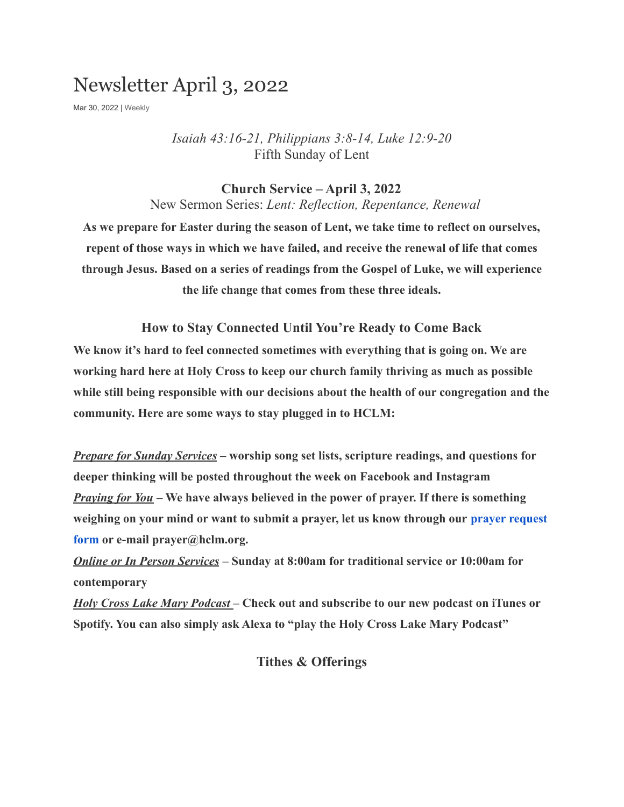# Newsletter April 3, 2022

Mar 30, 2022 | [Weekly](https://hclm.org/category/weekly/)

*Isaiah 43:16-21, Philippians 3:8-14, Luke 12:9-20* Fifth Sunday of Lent

### **Church Service – April 3, 2022**

New Sermon Series: *Lent: Reflection, Repentance, Renewal*

**As we prepare for Easter during the season of Lent, we take time to reflect on ourselves, repent of those ways in which we have failed, and receive the renewal of life that comes through Jesus. Based on a series of readings from the Gospel of Luke, we will experience the life change that comes from these three ideals.**

**How to Stay Connected Until You're Ready to Come Back We know it's hard to feel connected sometimes with everything that is going on. We are working hard here at Holy Cross to keep our church family thriving as much as possible while still being responsible with our decisions about the health of our congregation and the community. Here are some ways to stay plugged in to HCLM:**

*Prepare for Sunday Services* **– worship song set lists, scripture readings, and questions for deeper thinking will be posted throughout the week on Facebook and Instagram** *Praying for You* **– We have always believed in the power of prayer. If there is something weighing on your mind or want to submit a prayer, let us know through our [prayer request](https://hclm.org/prayer/) [form](https://hclm.org/prayer/) or e-mail prayer@hclm.org.**

*Online or In Person Services* **– Sunday at 8:00am for traditional service or 10:00am for contemporary**

*Holy Cross Lake Mary Podcast* **– Check out and subscribe to our new podcast on iTunes or Spotify. You can also simply ask Alexa to "play the Holy Cross Lake Mary Podcast"**

**Tithes & Offerings**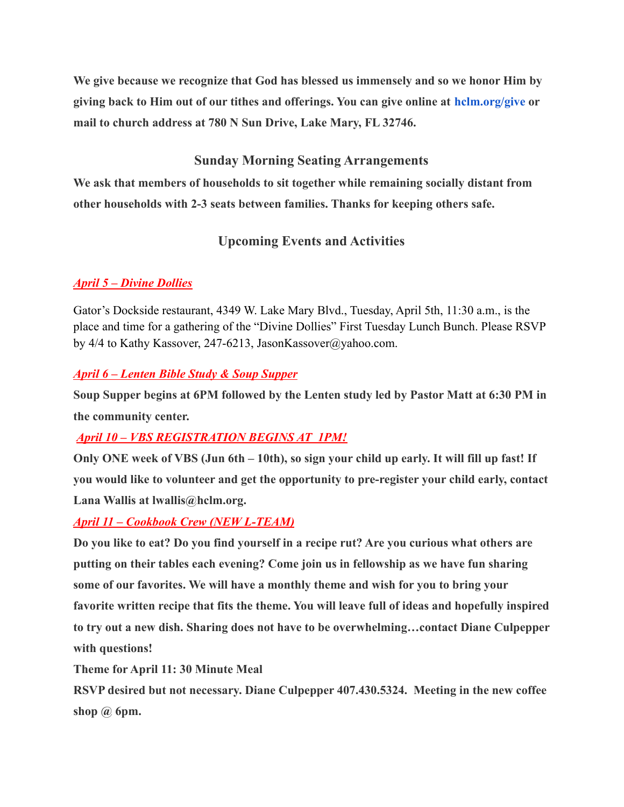**We give because we recognize that God has blessed us immensely and so we honor Him by giving back to Him out of our tithes and offerings. You can give online at [hclm.org/give](https://hclm.org/give) or mail to church address at 780 N Sun Drive, Lake Mary, FL 32746.**

# **Sunday Morning Seating Arrangements**

**We ask that members of households to sit together while remaining socially distant from other households with 2-3 seats between families. Thanks for keeping others safe.**

# **Upcoming Events and Activities**

## *April 5 – Divine Dollies*

Gator's Dockside restaurant, 4349 W. Lake Mary Blvd., Tuesday, April 5th, 11:30 a.m., is the place and time for a gathering of the "Divine Dollies" First Tuesday Lunch Bunch. Please RSVP by 4/4 to Kathy Kassover, 247-6213, JasonKassover@yahoo.com.

### *April 6 – Lenten Bible Study & Soup Supper*

**Soup Supper begins at 6PM followed by the Lenten study led by Pastor Matt at 6:30 PM in the community center.**

# *April 10 – VBS REGISTRATION BEGINS AT 1PM!*

**Only ONE week of VBS (Jun 6th – 10th), so sign your child up early. It will fill up fast! If you would like to volunteer and get the opportunity to pre-register your child early, contact Lana Wallis at lwallis@hclm.org.**

### *April 11 – Cookbook Crew (NEW L-TEAM)*

**Do you like to eat? Do you find yourself in a recipe rut? Are you curious what others are putting on their tables each evening? Come join us in fellowship as we have fun sharing some of our favorites. We will have a monthly theme and wish for you to bring your favorite written recipe that fits the theme. You will leave full of ideas and hopefully inspired to try out a new dish. Sharing does not have to be overwhelming…contact Diane Culpepper with questions!**

**Theme for April 11: 30 Minute Meal**

**RSVP desired but not necessary. Diane Culpepper 407.430.5324. Meeting in the new coffee shop @ 6pm.**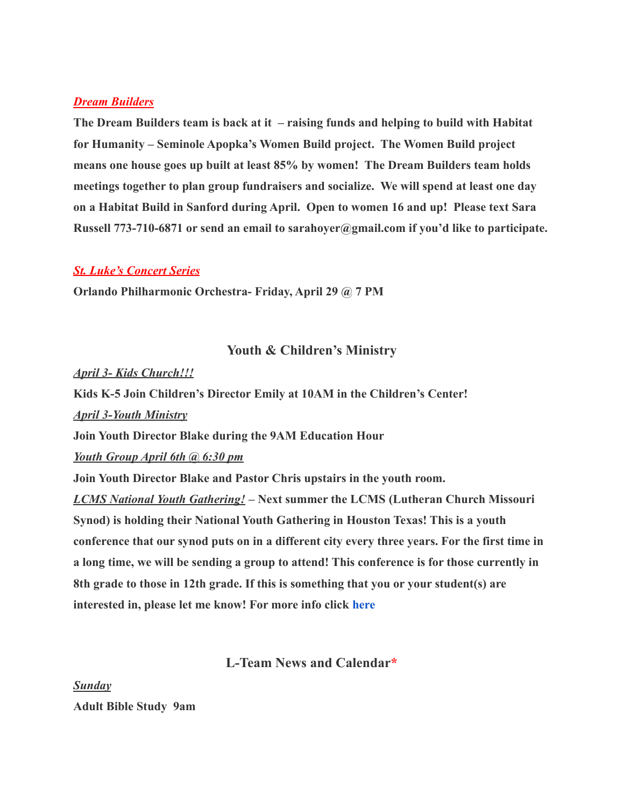#### *Dream Builders*

**The Dream Builders team is back at it – raising funds and helping to build with Habitat for Humanity – Seminole Apopka's Women Build project. The Women Build project means one house goes up built at least 85% by women! The Dream Builders team holds meetings together to plan group fundraisers and socialize. We will spend at least one day on a Habitat Build in Sanford during April. Open to women 16 and up! Please text Sara Russell 773-710-6871 or send an email to sarahoyer@gmail.com if you'd like to participate.**

#### *St. Luke's Concert Series*

**Orlando Philharmonic Orchestra- Friday, April 29 @ 7 PM**

### **Youth & Children's Ministry**

#### *April 3- Kids Church!!!*

**Kids K-5 Join Children's Director Emily at 10AM in the Children's Center!**

*April 3-Youth Ministry*

**Join Youth Director Blake during the 9AM Education Hour**

*Youth Group April 6th @ 6:30 pm*

**Join Youth Director Blake and Pastor Chris upstairs in the youth room.**

*LCMS National Youth Gathering!* **– Next summer the LCMS (Lutheran Church Missouri Synod) is holding their National Youth Gathering in Houston Texas! This is a youth conference that our synod puts on in a different city every three years. For the first time in a long time, we will be sending a group to attend! This conference is for those currently in 8th grade to those in 12th grade. If this is something that you or your student(s) are interested in, please let me know! For more info click [here](https://lcmsgathering.com/)**

### **L-Team News and Calendar\***

*Sunday* **Adult Bible Study 9am**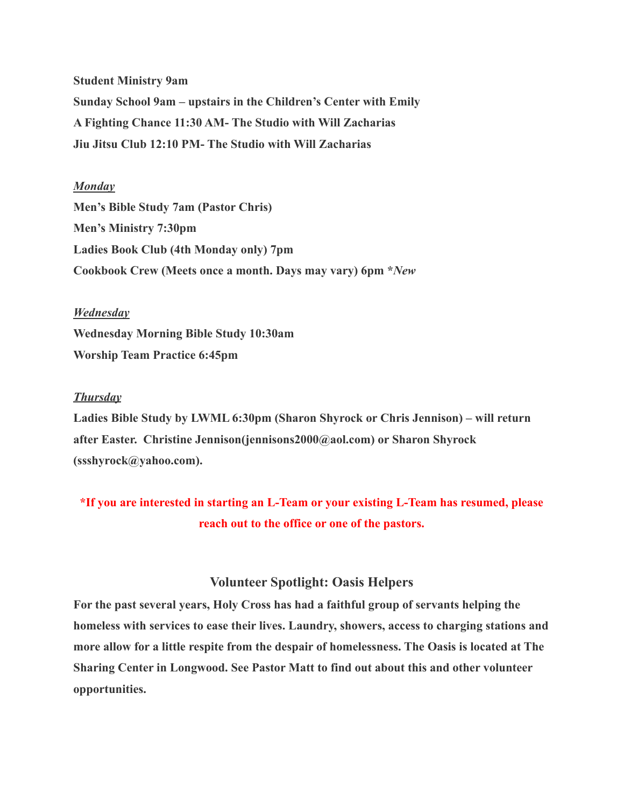**Student Ministry 9am Sunday School 9am – upstairs in the Children's Center with Emily A Fighting Chance 11:30 AM- The Studio with Will Zacharias Jiu Jitsu Club 12:10 PM- The Studio with Will Zacharias**

#### *Monday*

**Men's Bible Study 7am (Pastor Chris) Men's Ministry 7:30pm Ladies Book Club (4th Monday only) 7pm Cookbook Crew (Meets once a month. Days may vary) 6pm \****New*

#### *Wednesday*

**Wednesday Morning Bible Study 10:30am Worship Team Practice 6:45pm**

#### *Thursday*

**Ladies Bible Study by LWML 6:30pm (Sharon Shyrock or Chris Jennison) – will return after Easter. Christine Jennison(jennisons2000@aol.com) or Sharon Shyrock (ssshyrock@yahoo.com).**

# **\*If you are interested in starting an L-Team or your existing L-Team has resumed, please reach out to the office or one of the pastors.**

### **Volunteer Spotlight: Oasis Helpers**

**For the past several years, Holy Cross has had a faithful group of servants helping the homeless with services to ease their lives. Laundry, showers, access to charging stations and more allow for a little respite from the despair of homelessness. The Oasis is located at The Sharing Center in Longwood. See Pastor Matt to find out about this and other volunteer opportunities.**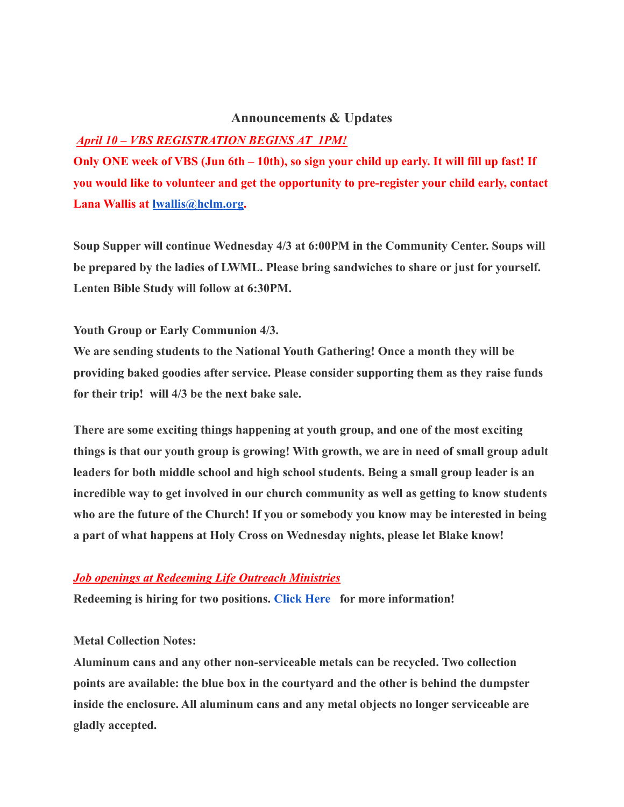### **Announcements & Updates**

### *April 10 – VBS REGISTRATION BEGINS AT 1PM!*

**Only ONE week of VBS (Jun 6th – 10th), so sign your child up early. It will fill up fast! If you would like to volunteer and get the opportunity to pre-register your child early, contact Lana Wallis at [lwallis@hclm.org](mailto:lwallis@hclm.org).**

**Soup Supper will continue Wednesday 4/3 at 6:00PM in the Community Center. Soups will be prepared by the ladies of LWML. Please bring sandwiches to share or just for yourself. Lenten Bible Study will follow at 6:30PM.**

#### **Youth Group or Early Communion 4/3.**

**We are sending students to the National Youth Gathering! Once a month they will be providing baked goodies after service. Please consider supporting them as they raise funds for their trip! will 4/3 be the next bake sale.**

**There are some exciting things happening at youth group, and one of the most exciting things is that our youth group is growing! With growth, we are in need of small group adult leaders for both middle school and high school students. Being a small group leader is an incredible way to get involved in our church community as well as getting to know students who are the future of the Church! If you or somebody you know may be interested in being a part of what happens at Holy Cross on Wednesday nights, please let Blake know!**

#### *Job openings at Redeeming Life Outreach Ministries*

**Redeeming is hiring for two positions. [Click Here](https://www.rlom.org/jobs) for more information!**

#### **Metal Collection Notes:**

**Aluminum cans and any other non-serviceable metals can be recycled. Two collection points are available: the blue box in the courtyard and the other is behind the dumpster inside the enclosure. All aluminum cans and any metal objects no longer serviceable are gladly accepted.**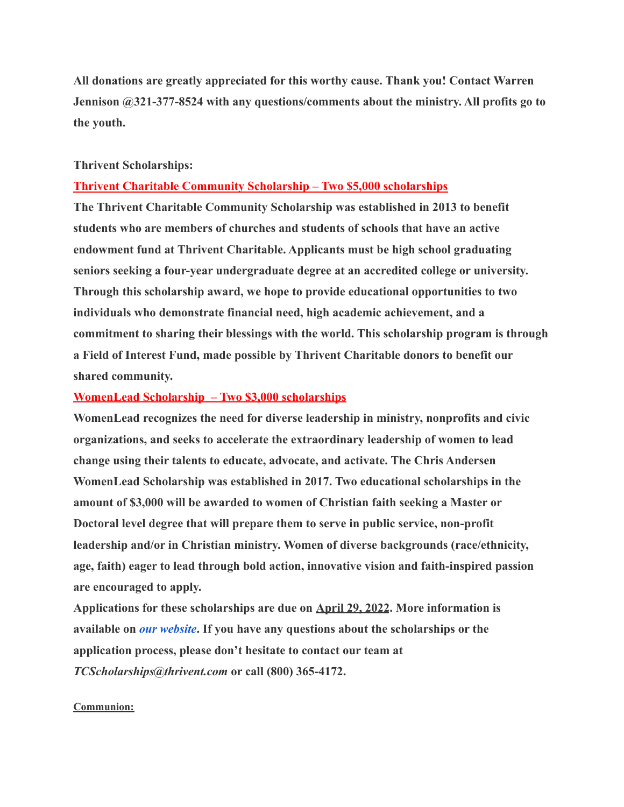**All donations are greatly appreciated for this worthy cause. Thank you! Contact Warren Jennison @321-377-8524 with any questions/comments about the ministry. All profits go to the youth.**

#### **Thrivent Scholarships:**

#### **Thrivent Charitable Community Scholarship – Two \$5,000 scholarships**

**The Thrivent Charitable Community Scholarship was established in 2013 to benefit students who are members of churches and students of schools that have an active endowment fund at Thrivent Charitable. Applicants must be high school graduating seniors seeking a four-year undergraduate degree at an accredited college or university. Through this scholarship award, we hope to provide educational opportunities to two individuals who demonstrate financial need, high academic achievement, and a commitment to sharing their blessings with the world. This scholarship program is through a Field of Interest Fund, made possible by Thrivent Charitable donors to benefit our shared community.**

#### **WomenLead Scholarship – Two \$3,000 scholarships**

**WomenLead recognizes the need for diverse leadership in ministry, nonprofits and civic organizations, and seeks to accelerate the extraordinary leadership of women to lead change using their talents to educate, advocate, and activate. The Chris Andersen WomenLead Scholarship was established in 2017. Two educational scholarships in the amount of \$3,000 will be awarded to women of Christian faith seeking a Master or Doctoral level degree that will prepare them to serve in public service, non-profit leadership and/or in Christian ministry. Women of diverse backgrounds (race/ethnicity, age, faith) eager to lead through bold action, innovative vision and faith-inspired passion are encouraged to apply.**

**Applications for these scholarships are due on April 29, 2022. More information is available on** *[our website](https://thriventcharitable.us19.list-manage.com/track/click?u=4c64e398feadcb8b923b7f6f9&id=cce383d52d&e=bcda491e87)***. If you have any questions about the scholarships or the application process, please don't hesitate to contact our team at** *TCScholarships@thrivent.com* **or call (800) 365-4172.**

#### **Communion:**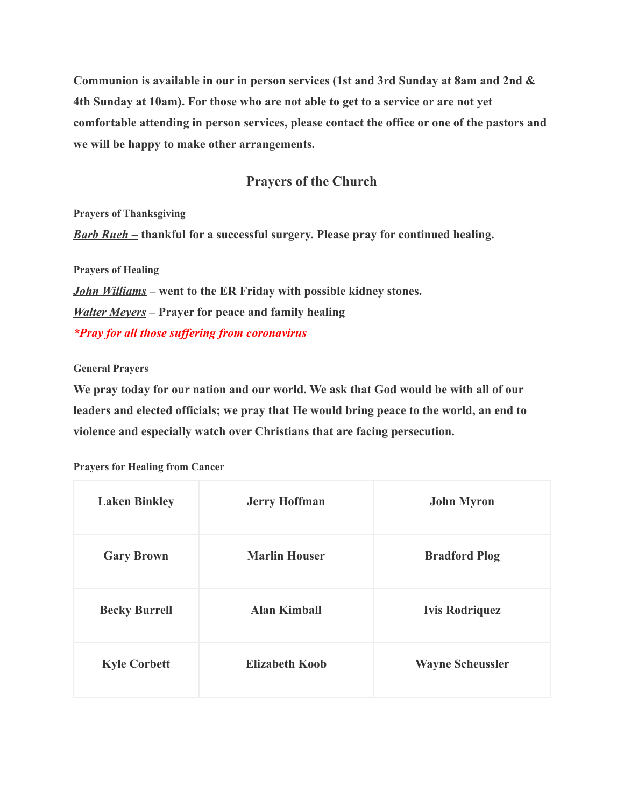**Communion is available in our in person services (1st and 3rd Sunday at 8am and 2nd & 4th Sunday at 10am). For those who are not able to get to a service or are not yet comfortable attending in person services, please contact the office or one of the pastors and we will be happy to make other arrangements.**

# **Prayers of the Church**

**Prayers of Thanksgiving** *Barb Rueh –* **thankful for a successful surgery. Please pray for continued healing.**

**Prayers of Healing**

*John Williams* **– went to the ER Friday with possible kidney stones.** *Walter Meyers* **– Prayer for peace and family healing** *\*Pray for all those suffering from coronavirus*

#### **General Prayers**

**We pray today for our nation and our world. We ask that God would be with all of our leaders and elected officials; we pray that He would bring peace to the world, an end to violence and especially watch over Christians that are facing persecution.**

| <b>Laken Binkley</b> | <b>Jerry Hoffman</b>  | <b>John Myron</b>       |
|----------------------|-----------------------|-------------------------|
| <b>Gary Brown</b>    | <b>Marlin Houser</b>  | <b>Bradford Plog</b>    |
| <b>Becky Burrell</b> | <b>Alan Kimball</b>   | <b>Ivis Rodriquez</b>   |
| <b>Kyle Corbett</b>  | <b>Elizabeth Koob</b> | <b>Wayne Scheussler</b> |

**Prayers for Healing from Cancer**